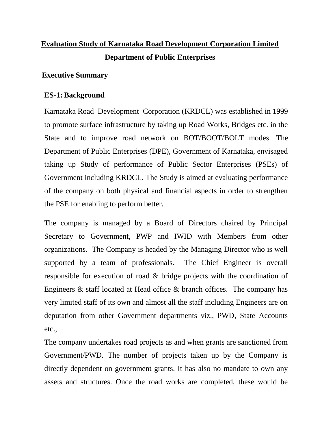# **Evaluation Study of Karnataka Road Development Corporation Limited Department of Public Enterprises**

## **Executive Summary**

## **ES-1: Background**

Karnataka Road Development Corporation (KRDCL) was established in 1999 to promote surface infrastructure by taking up Road Works, Bridges etc. in the State and to improve road network on BOT/BOOT/BOLT modes. The Department of Public Enterprises (DPE), Government of Karnataka, envisaged taking up Study of performance of Public Sector Enterprises (PSEs) of Government including KRDCL. The Study is aimed at evaluating performance of the company on both physical and financial aspects in order to strengthen the PSE for enabling to perform better.

The company is managed by a Board of Directors chaired by Principal Secretary to Government, PWP and IWID with Members from other organizations. The Company is headed by the Managing Director who is well supported by a team of professionals. The Chief Engineer is overall responsible for execution of road & bridge projects with the coordination of Engineers  $\&$  staff located at Head office  $\&$  branch offices. The company has very limited staff of its own and almost all the staff including Engineers are on deputation from other Government departments viz., PWD, State Accounts etc.,

The company undertakes road projects as and when grants are sanctioned from Government/PWD. The number of projects taken up by the Company is directly dependent on government grants. It has also no mandate to own any assets and structures. Once the road works are completed, these would be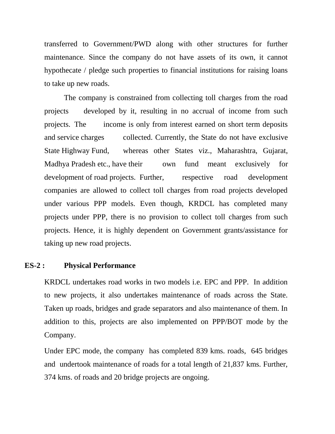transferred to Government/PWD along with other structures for further maintenance. Since the company do not have assets of its own, it cannot hypothecate / pledge such properties to financial institutions for raising loans to take up new roads.

The company is constrained from collecting toll charges from the road projects developed by it, resulting in no accrual of income from such projects. The income is only from interest earned on short term deposits and service charges collected. Currently, the State do not have exclusive State Highway Fund, whereas other States viz., Maharashtra, Gujarat, Madhya Pradesh etc., have their own fund meant exclusively for development of road projects. Further, respective road development companies are allowed to collect toll charges from road projects developed under various PPP models. Even though, KRDCL has completed many projects under PPP, there is no provision to collect toll charges from such projects. Hence, it is highly dependent on Government grants/assistance for taking up new road projects.

#### **ES-2 : Physical Performance**

KRDCL undertakes road works in two models i.e. EPC and PPP. In addition to new projects, it also undertakes maintenance of roads across the State. Taken up roads, bridges and grade separators and also maintenance of them. In addition to this, projects are also implemented on PPP/BOT mode by the Company.

Under EPC mode, the company has completed 839 kms. roads, 645 bridges and undertook maintenance of roads for a total length of 21,837 kms. Further, 374 kms. of roads and 20 bridge projects are ongoing.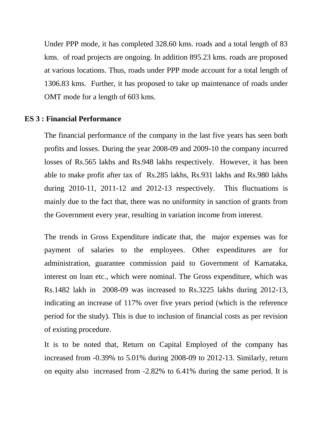Under PPP mode, it has completed 328.60 kms. roads and a total length of 83 kms. of road projects are ongoing. In addition 895.23 kms. roads are proposed at various locations. Thus, roads under PPP mode account for a total length of 1306.83 kms. Further, it has proposed to take up maintenance of roads under OMT mode for a length of 603 kms.

#### **ES 3 : Financial Performance**

The financial performance of the company in the last five years has seen both profits and losses. During the year 2008-09 and 2009-10 the company incurred losses of Rs.565 lakhs and Rs.948 lakhs respectively. However, it has been able to make profit after tax of Rs.285 lakhs, Rs.931 lakhs and Rs.980 lakhs during 2010-11, 2011-12 and 2012-13 respectively. This fluctuations is mainly due to the fact that, there was no uniformity in sanction of grants from the Government every year, resulting in variation income from interest.

The trends in Gross Expenditure indicate that, the major expenses was for payment of salaries to the employees. Other expenditures are for administration, guarantee commission paid to Government of Karnataka, interest on loan etc., which were nominal. The Gross expenditure, which was Rs.1482 lakh in 2008-09 was increased to Rs.3225 lakhs during 2012-13, indicating an increase of 117% over five years period (which is the reference period for the study). This is due to inclusion of financial costs as per revision of existing procedure.

It is to be noted that, Return on Capital Employed of the company has increased from -0.39% to 5.01% during 2008-09 to 2012-13. Similarly, return on equity also increased from -2.82% to 6.41% during the same period. It is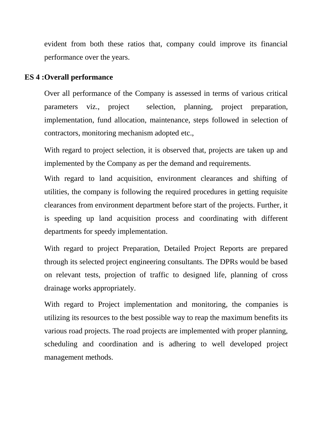evident from both these ratios that, company could improve its financial performance over the years.

#### **ES 4 :Overall performance**

Over all performance of the Company is assessed in terms of various critical parameters viz., project selection, planning, project preparation, implementation, fund allocation, maintenance, steps followed in selection of contractors, monitoring mechanism adopted etc.,

With regard to project selection, it is observed that, projects are taken up and implemented by the Company as per the demand and requirements.

With regard to land acquisition, environment clearances and shifting of utilities, the company is following the required procedures in getting requisite clearances from environment department before start of the projects. Further, it is speeding up land acquisition process and coordinating with different departments for speedy implementation.

With regard to project Preparation, Detailed Project Reports are prepared through its selected project engineering consultants. The DPRs would be based on relevant tests, projection of traffic to designed life, planning of cross drainage works appropriately.

With regard to Project implementation and monitoring, the companies is utilizing its resources to the best possible way to reap the maximum benefits its various road projects. The road projects are implemented with proper planning, scheduling and coordination and is adhering to well developed project management methods.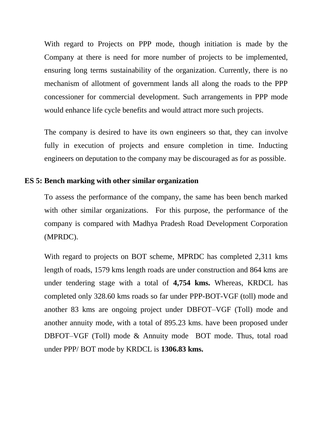With regard to Projects on PPP mode, though initiation is made by the Company at there is need for more number of projects to be implemented, ensuring long terms sustainability of the organization. Currently, there is no mechanism of allotment of government lands all along the roads to the PPP concessioner for commercial development. Such arrangements in PPP mode would enhance life cycle benefits and would attract more such projects.

The company is desired to have its own engineers so that, they can involve fully in execution of projects and ensure completion in time. Inducting engineers on deputation to the company may be discouraged as for as possible.

#### **ES 5: Bench marking with other similar organization**

To assess the performance of the company, the same has been bench marked with other similar organizations. For this purpose, the performance of the company is compared with Madhya Pradesh Road Development Corporation (MPRDC).

With regard to projects on BOT scheme, MPRDC has completed 2,311 kms length of roads, 1579 kms length roads are under construction and 864 kms are under tendering stage with a total of **4,754 kms.** Whereas, KRDCL has completed only 328.60 kms roads so far under PPP-BOT-VGF (toll) mode and another 83 kms are ongoing project under DBFOT–VGF (Toll) mode and another annuity mode, with a total of 895.23 kms. have been proposed under DBFOT–VGF (Toll) mode & Annuity mode BOT mode. Thus, total road under PPP/ BOT mode by KRDCL is **1306.83 kms.**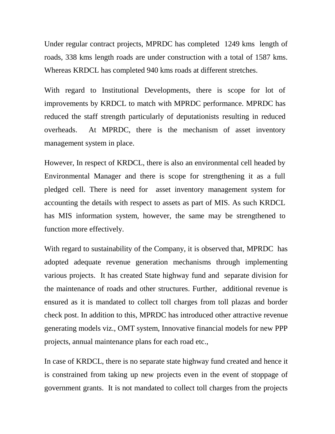Under regular contract projects, MPRDC has completed 1249 kms length of roads, 338 kms length roads are under construction with a total of 1587 kms. Whereas KRDCL has completed 940 kms roads at different stretches.

With regard to Institutional Developments, there is scope for lot of improvements by KRDCL to match with MPRDC performance. MPRDC has reduced the staff strength particularly of deputationists resulting in reduced overheads. At MPRDC, there is the mechanism of asset inventory management system in place.

However, In respect of KRDCL, there is also an environmental cell headed by Environmental Manager and there is scope for strengthening it as a full pledged cell. There is need for asset inventory management system for accounting the details with respect to assets as part of MIS. As such KRDCL has MIS information system, however, the same may be strengthened to function more effectively.

With regard to sustainability of the Company, it is observed that, MPRDC has adopted adequate revenue generation mechanisms through implementing various projects. It has created State highway fund and separate division for the maintenance of roads and other structures. Further, additional revenue is ensured as it is mandated to collect toll charges from toll plazas and border check post. In addition to this, MPRDC has introduced other attractive revenue generating models viz., OMT system, Innovative financial models for new PPP projects, annual maintenance plans for each road etc.,

In case of KRDCL, there is no separate state highway fund created and hence it is constrained from taking up new projects even in the event of stoppage of government grants. It is not mandated to collect toll charges from the projects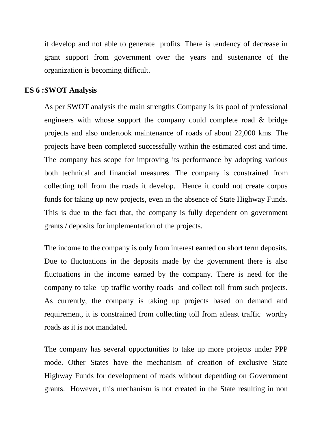it develop and not able to generate profits. There is tendency of decrease in grant support from government over the years and sustenance of the organization is becoming difficult.

#### **ES 6 :SWOT Analysis**

As per SWOT analysis the main strengths Company is its pool of professional engineers with whose support the company could complete road & bridge projects and also undertook maintenance of roads of about 22,000 kms. The projects have been completed successfully within the estimated cost and time. The company has scope for improving its performance by adopting various both technical and financial measures. The company is constrained from collecting toll from the roads it develop. Hence it could not create corpus funds for taking up new projects, even in the absence of State Highway Funds. This is due to the fact that, the company is fully dependent on government grants / deposits for implementation of the projects.

The income to the company is only from interest earned on short term deposits. Due to fluctuations in the deposits made by the government there is also fluctuations in the income earned by the company. There is need for the company to take up traffic worthy roads and collect toll from such projects. As currently, the company is taking up projects based on demand and requirement, it is constrained from collecting toll from atleast traffic worthy roads as it is not mandated.

The company has several opportunities to take up more projects under PPP mode. Other States have the mechanism of creation of exclusive State Highway Funds for development of roads without depending on Government grants. However, this mechanism is not created in the State resulting in non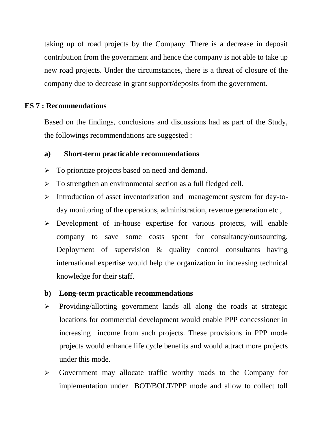taking up of road projects by the Company. There is a decrease in deposit contribution from the government and hence the company is not able to take up new road projects. Under the circumstances, there is a threat of closure of the company due to decrease in grant support/deposits from the government.

#### **ES 7 : Recommendations**

Based on the findings, conclusions and discussions had as part of the Study, the followings recommendations are suggested :

#### **a) Short-term practicable recommendations**

- $\triangleright$  To prioritize projects based on need and demand.
- $\triangleright$  To strengthen an environmental section as a full fledged cell.
- $\triangleright$  Introduction of asset inventorization and management system for day-today monitoring of the operations, administration, revenue generation etc.,
- Development of in-house expertise for various projects, will enable company to save some costs spent for consultancy/outsourcing. Deployment of supervision & quality control consultants having international expertise would help the organization in increasing technical knowledge for their staff.

#### **b) Long-term practicable recommendations**

- $\triangleright$  Providing/allotting government lands all along the roads at strategic locations for commercial development would enable PPP concessioner in increasing income from such projects. These provisions in PPP mode projects would enhance life cycle benefits and would attract more projects under this mode.
- Government may allocate traffic worthy roads to the Company for implementation under BOT/BOLT/PPP mode and allow to collect toll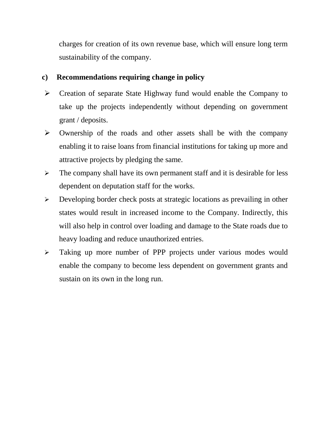charges for creation of its own revenue base, which will ensure long term sustainability of the company.

# **c) Recommendations requiring change in policy**

- $\triangleright$  Creation of separate State Highway fund would enable the Company to take up the projects independently without depending on government grant / deposits.
- $\triangleright$  Ownership of the roads and other assets shall be with the company enabling it to raise loans from financial institutions for taking up more and attractive projects by pledging the same.
- $\triangleright$  The company shall have its own permanent staff and it is desirable for less dependent on deputation staff for the works.
- Developing border check posts at strategic locations as prevailing in other states would result in increased income to the Company. Indirectly, this will also help in control over loading and damage to the State roads due to heavy loading and reduce unauthorized entries.
- Taking up more number of PPP projects under various modes would enable the company to become less dependent on government grants and sustain on its own in the long run.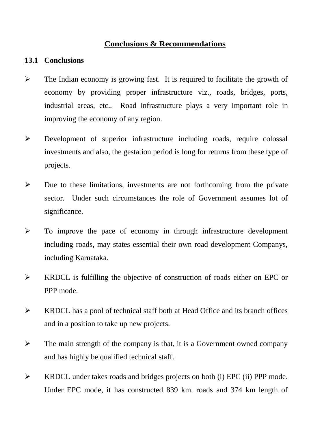## **Conclusions & Recommendations**

## **13.1 Conclusions**

- $\triangleright$  The Indian economy is growing fast. It is required to facilitate the growth of economy by providing proper infrastructure viz., roads, bridges, ports, industrial areas, etc.. Road infrastructure plays a very important role in improving the economy of any region.
- Development of superior infrastructure including roads, require colossal investments and also, the gestation period is long for returns from these type of projects.
- $\triangleright$  Due to these limitations, investments are not forthcoming from the private sector. Under such circumstances the role of Government assumes lot of significance.
- $\triangleright$  To improve the pace of economy in through infrastructure development including roads, may states essential their own road development Companys, including Karnataka.
- KRDCL is fulfilling the objective of construction of roads either on EPC or PPP mode.
- $\triangleright$  KRDCL has a pool of technical staff both at Head Office and its branch offices and in a position to take up new projects.
- $\triangleright$  The main strength of the company is that, it is a Government owned company and has highly be qualified technical staff.
- KRDCL under takes roads and bridges projects on both (i) EPC (ii) PPP mode. Under EPC mode, it has constructed 839 km. roads and 374 km length of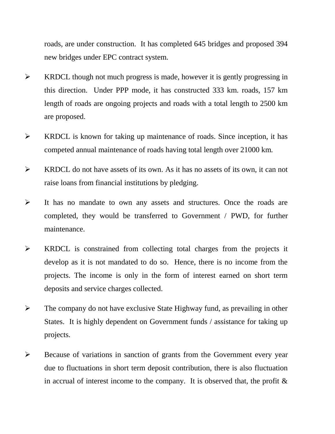roads, are under construction. It has completed 645 bridges and proposed 394 new bridges under EPC contract system.

- $\triangleright$  KRDCL though not much progress is made, however it is gently progressing in this direction. Under PPP mode, it has constructed 333 km. roads, 157 km length of roads are ongoing projects and roads with a total length to 2500 km are proposed.
- $\triangleright$  KRDCL is known for taking up maintenance of roads. Since inception, it has competed annual maintenance of roads having total length over 21000 km.
- $\triangleright$  KRDCL do not have assets of its own. As it has no assets of its own, it can not raise loans from financial institutions by pledging.
- $\triangleright$  It has no mandate to own any assets and structures. Once the roads are completed, they would be transferred to Government / PWD, for further maintenance.
- KRDCL is constrained from collecting total charges from the projects it develop as it is not mandated to do so. Hence, there is no income from the projects. The income is only in the form of interest earned on short term deposits and service charges collected.
- $\triangleright$  The company do not have exclusive State Highway fund, as prevailing in other States. It is highly dependent on Government funds / assistance for taking up projects.
- Because of variations in sanction of grants from the Government every year due to fluctuations in short term deposit contribution, there is also fluctuation in accrual of interest income to the company. It is observed that, the profit  $\&$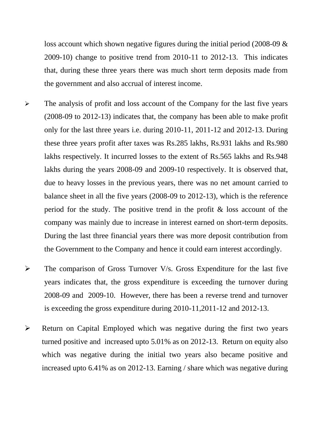loss account which shown negative figures during the initial period (2008-09 & 2009-10) change to positive trend from 2010-11 to 2012-13. This indicates that, during these three years there was much short term deposits made from the government and also accrual of interest income.

- $\triangleright$  The analysis of profit and loss account of the Company for the last five years (2008-09 to 2012-13) indicates that, the company has been able to make profit only for the last three years i.e. during 2010-11, 2011-12 and 2012-13. During these three years profit after taxes was Rs.285 lakhs, Rs.931 lakhs and Rs.980 lakhs respectively. It incurred losses to the extent of Rs.565 lakhs and Rs.948 lakhs during the years 2008-09 and 2009-10 respectively. It is observed that, due to heavy losses in the previous years, there was no net amount carried to balance sheet in all the five years (2008-09 to 2012-13), which is the reference period for the study. The positive trend in the profit & loss account of the company was mainly due to increase in interest earned on short-term deposits. During the last three financial years there was more deposit contribution from the Government to the Company and hence it could earn interest accordingly.
- $\triangleright$  The comparison of Gross Turnover V/s. Gross Expenditure for the last five years indicates that, the gross expenditure is exceeding the turnover during 2008-09 and 2009-10. However, there has been a reverse trend and turnover is exceeding the gross expenditure during 2010-11,2011-12 and 2012-13.
- $\triangleright$  Return on Capital Employed which was negative during the first two years turned positive and increased upto 5.01% as on 2012-13. Return on equity also which was negative during the initial two years also became positive and increased upto 6.41% as on 2012-13. Earning / share which was negative during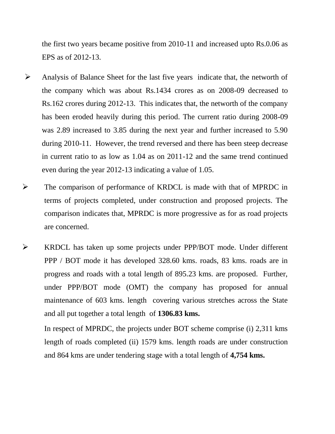the first two years became positive from 2010-11 and increased upto Rs.0.06 as EPS as of 2012-13.

- $\triangleright$  Analysis of Balance Sheet for the last five years indicate that, the networth of the company which was about Rs.1434 crores as on 2008-09 decreased to Rs.162 crores during 2012-13. This indicates that, the networth of the company has been eroded heavily during this period. The current ratio during 2008-09 was 2.89 increased to 3.85 during the next year and further increased to 5.90 during 2010-11. However, the trend reversed and there has been steep decrease in current ratio to as low as 1.04 as on 2011-12 and the same trend continued even during the year 2012-13 indicating a value of 1.05.
- The comparison of performance of KRDCL is made with that of MPRDC in terms of projects completed, under construction and proposed projects. The comparison indicates that, MPRDC is more progressive as for as road projects are concerned.
- KRDCL has taken up some projects under PPP/BOT mode. Under different PPP / BOT mode it has developed 328.60 kms. roads, 83 kms. roads are in progress and roads with a total length of 895.23 kms. are proposed. Further, under PPP/BOT mode (OMT) the company has proposed for annual maintenance of 603 kms. length covering various stretches across the State and all put together a total length of **1306.83 kms.**

In respect of MPRDC, the projects under BOT scheme comprise (i) 2,311 kms length of roads completed (ii) 1579 kms. length roads are under construction and 864 kms are under tendering stage with a total length of **4,754 kms.**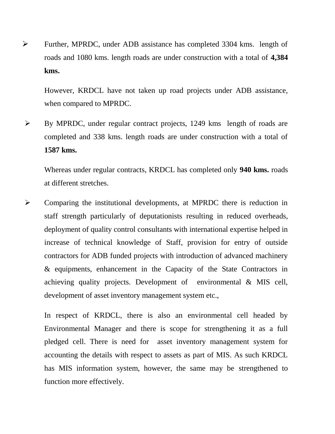Further, MPRDC, under ADB assistance has completed 3304 kms. length of roads and 1080 kms. length roads are under construction with a total of **4,384 kms.**

However, KRDCL have not taken up road projects under ADB assistance, when compared to MPRDC.

 By MPRDC, under regular contract projects, 1249 kms length of roads are completed and 338 kms. length roads are under construction with a total of **1587 kms.**

Whereas under regular contracts, KRDCL has completed only **940 kms.** roads at different stretches.

 Comparing the institutional developments, at MPRDC there is reduction in staff strength particularly of deputationists resulting in reduced overheads, deployment of quality control consultants with international expertise helped in increase of technical knowledge of Staff, provision for entry of outside contractors for ADB funded projects with introduction of advanced machinery & equipments, enhancement in the Capacity of the State Contractors in achieving quality projects. Development of environmental & MIS cell, development of asset inventory management system etc.,

In respect of KRDCL, there is also an environmental cell headed by Environmental Manager and there is scope for strengthening it as a full pledged cell. There is need for asset inventory management system for accounting the details with respect to assets as part of MIS. As such KRDCL has MIS information system, however, the same may be strengthened to function more effectively.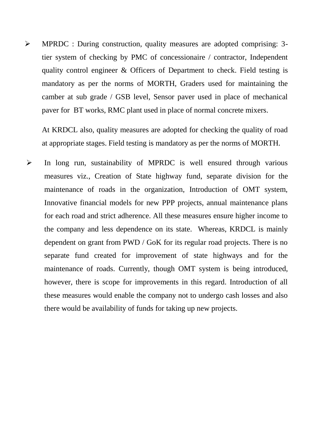MPRDC : During construction, quality measures are adopted comprising: 3 tier system of checking by PMC of concessionaire / contractor, Independent quality control engineer & Officers of Department to check. Field testing is mandatory as per the norms of MORTH, Graders used for maintaining the camber at sub grade / GSB level, Sensor paver used in place of mechanical paver for BT works, RMC plant used in place of normal concrete mixers.

At KRDCL also, quality measures are adopted for checking the quality of road at appropriate stages. Field testing is mandatory as per the norms of MORTH.

 $\triangleright$  In long run, sustainability of MPRDC is well ensured through various measures viz., Creation of State highway fund, separate division for the maintenance of roads in the organization, Introduction of OMT system, Innovative financial models for new PPP projects, annual maintenance plans for each road and strict adherence. All these measures ensure higher income to the company and less dependence on its state. Whereas, KRDCL is mainly dependent on grant from PWD / GoK for its regular road projects. There is no separate fund created for improvement of state highways and for the maintenance of roads. Currently, though OMT system is being introduced, however, there is scope for improvements in this regard. Introduction of all these measures would enable the company not to undergo cash losses and also there would be availability of funds for taking up new projects.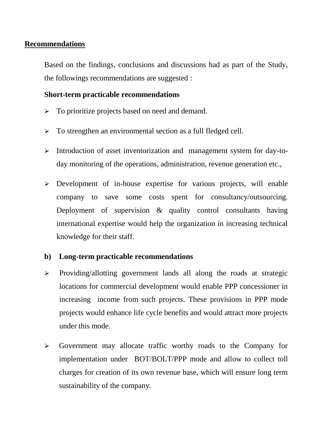## **Recommendations**

Based on the findings, conclusions and discussions had as part of the Study, the followings recommendations are suggested :

## **Short-term practicable recommendations**

- $\triangleright$  To prioritize projects based on need and demand.
- > To strengthen an environmental section as a full fledged cell.
- Introduction of asset inventorization and management system for day-today monitoring of the operations, administration, revenue generation etc.,
- $\triangleright$  Development of in-house expertise for various projects, will enable company to save some costs spent for consultancy/outsourcing. Deployment of supervision & quality control consultants having international expertise would help the organization in increasing technical knowledge for their staff.

## **b) Long-term practicable recommendations**

- $\triangleright$  Providing/allotting government lands all along the roads at strategic locations for commercial development would enable PPP concessioner in increasing income from such projects. These provisions in PPP mode projects would enhance life cycle benefits and would attract more projects under this mode.
- Government may allocate traffic worthy roads to the Company for implementation under BOT/BOLT/PPP mode and allow to collect toll charges for creation of its own revenue base, which will ensure long term sustainability of the company.